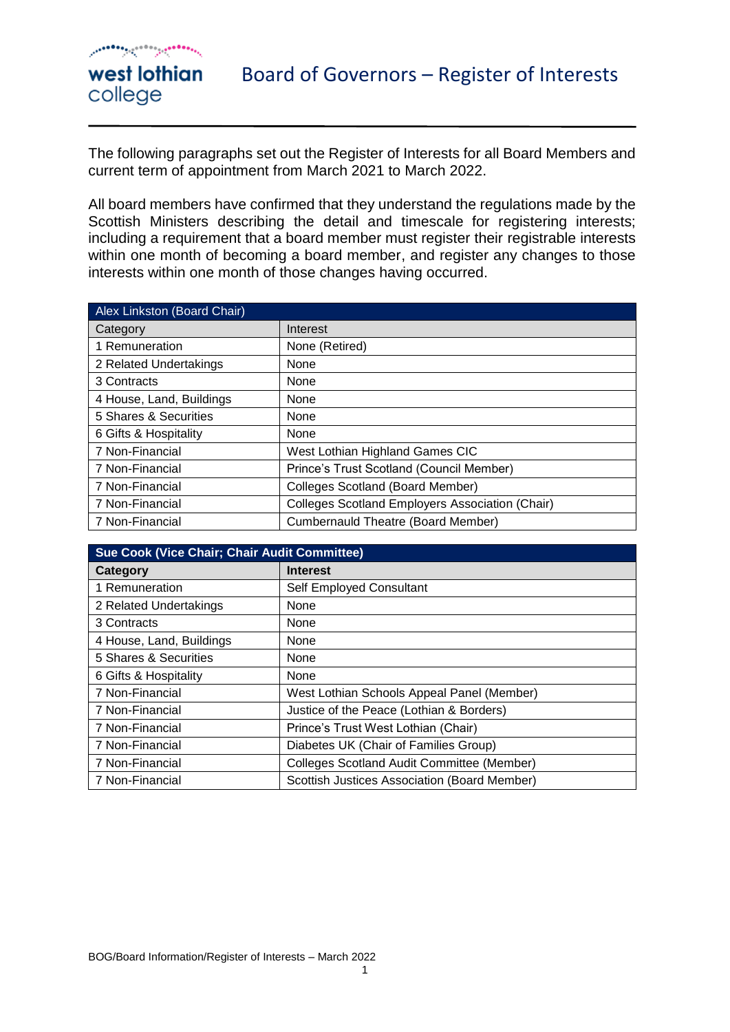west lothian

college

#### Board of Governors – Register of Interests

The following paragraphs set out the Register of Interests for all Board Members and current term of appointment from March 2021 to March 2022.

All board members have confirmed that they understand the regulations made by the Scottish Ministers describing the detail and timescale for registering interests; including a requirement that a board member must register their registrable interests within one month of becoming a board member, and register any changes to those interests within one month of those changes having occurred.

| Alex Linkston (Board Chair) |                                                        |
|-----------------------------|--------------------------------------------------------|
| Category                    | Interest                                               |
| 1 Remuneration              | None (Retired)                                         |
| 2 Related Undertakings      | None                                                   |
| 3 Contracts                 | None                                                   |
| 4 House, Land, Buildings    | <b>None</b>                                            |
| 5 Shares & Securities       | None                                                   |
| 6 Gifts & Hospitality       | None                                                   |
| 7 Non-Financial             | West Lothian Highland Games CIC                        |
| 7 Non-Financial             | Prince's Trust Scotland (Council Member)               |
| 7 Non-Financial             | <b>Colleges Scotland (Board Member)</b>                |
| 7 Non-Financial             | <b>Colleges Scotland Employers Association (Chair)</b> |
| 7 Non-Financial             | <b>Cumbernauld Theatre (Board Member)</b>              |

| <b>Sue Cook (Vice Chair; Chair Audit Committee)</b> |                                                   |
|-----------------------------------------------------|---------------------------------------------------|
| Category                                            | <b>Interest</b>                                   |
| 1 Remuneration                                      | Self Employed Consultant                          |
| 2 Related Undertakings                              | None                                              |
| 3 Contracts                                         | None                                              |
| 4 House, Land, Buildings                            | None                                              |
| 5 Shares & Securities                               | None                                              |
| 6 Gifts & Hospitality                               | None                                              |
| 7 Non-Financial                                     | West Lothian Schools Appeal Panel (Member)        |
| 7 Non-Financial                                     | Justice of the Peace (Lothian & Borders)          |
| 7 Non-Financial                                     | Prince's Trust West Lothian (Chair)               |
| 7 Non-Financial                                     | Diabetes UK (Chair of Families Group)             |
| 7 Non-Financial                                     | <b>Colleges Scotland Audit Committee (Member)</b> |
| 7 Non-Financial                                     | Scottish Justices Association (Board Member)      |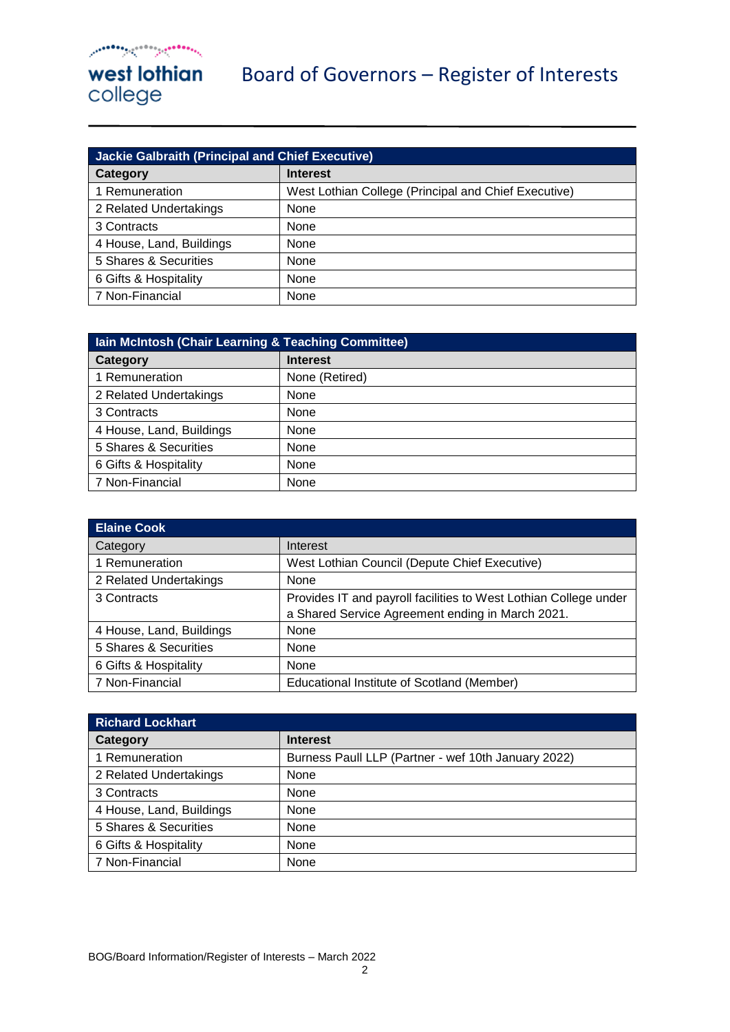| <b>Jackie Galbraith (Principal and Chief Executive)</b> |                                                      |
|---------------------------------------------------------|------------------------------------------------------|
| Category                                                | <b>Interest</b>                                      |
| 1 Remuneration                                          | West Lothian College (Principal and Chief Executive) |
| 2 Related Undertakings                                  | None                                                 |
| 3 Contracts                                             | None                                                 |
| 4 House, Land, Buildings                                | None                                                 |
| 5 Shares & Securities                                   | None                                                 |
| 6 Gifts & Hospitality                                   | None                                                 |
| 7 Non-Financial                                         | None                                                 |

| Iain McIntosh (Chair Learning & Teaching Committee) |                 |
|-----------------------------------------------------|-----------------|
| Category                                            | <b>Interest</b> |
| 1 Remuneration                                      | None (Retired)  |
| 2 Related Undertakings                              | None            |
| 3 Contracts                                         | None            |
| 4 House, Land, Buildings                            | None            |
| 5 Shares & Securities                               | None            |
| 6 Gifts & Hospitality                               | None            |
| 7 Non-Financial                                     | None            |

| <b>Elaine Cook</b>       |                                                                  |
|--------------------------|------------------------------------------------------------------|
| Category                 | Interest                                                         |
| 1 Remuneration           | West Lothian Council (Depute Chief Executive)                    |
| 2 Related Undertakings   | None                                                             |
| 3 Contracts              | Provides IT and payroll facilities to West Lothian College under |
|                          | a Shared Service Agreement ending in March 2021.                 |
| 4 House, Land, Buildings | None                                                             |
| 5 Shares & Securities    | None                                                             |
| 6 Gifts & Hospitality    | None                                                             |
| 7 Non-Financial          | Educational Institute of Scotland (Member)                       |

| <b>Richard Lockhart</b>  |                                                     |
|--------------------------|-----------------------------------------------------|
| Category                 | <b>Interest</b>                                     |
| 1 Remuneration           | Burness Paull LLP (Partner - wef 10th January 2022) |
| 2 Related Undertakings   | None                                                |
| 3 Contracts              | None                                                |
| 4 House, Land, Buildings | None                                                |
| 5 Shares & Securities    | None                                                |
| 6 Gifts & Hospitality    | None                                                |
| 7 Non-Financial          | None                                                |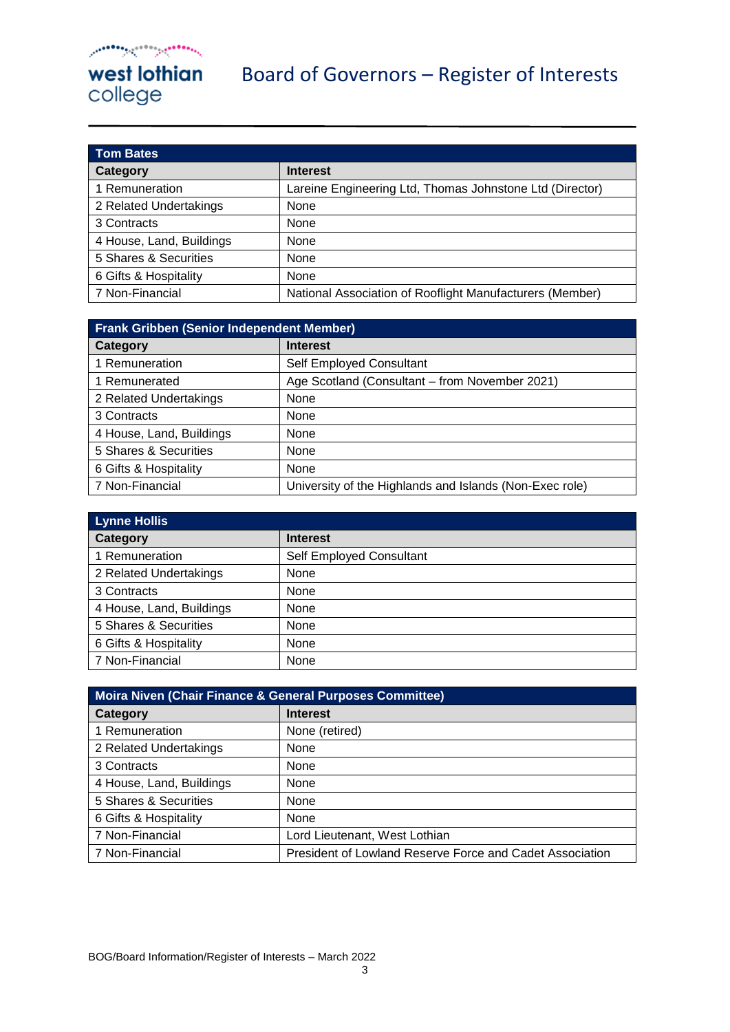| <b>Tom Bates</b>         |                                                          |
|--------------------------|----------------------------------------------------------|
| Category                 | <b>Interest</b>                                          |
| 1 Remuneration           | Lareine Engineering Ltd, Thomas Johnstone Ltd (Director) |
| 2 Related Undertakings   | None                                                     |
| 3 Contracts              | None                                                     |
| 4 House, Land, Buildings | None                                                     |
| 5 Shares & Securities    | None                                                     |
| 6 Gifts & Hospitality    | None                                                     |
| 7 Non-Financial          | National Association of Rooflight Manufacturers (Member) |

| <b>Frank Gribben (Senior Independent Member)</b> |                                                         |
|--------------------------------------------------|---------------------------------------------------------|
| Category                                         | <b>Interest</b>                                         |
| 1 Remuneration                                   | Self Employed Consultant                                |
| 1 Remunerated                                    | Age Scotland (Consultant – from November 2021)          |
| 2 Related Undertakings                           | None                                                    |
| 3 Contracts                                      | None                                                    |
| 4 House, Land, Buildings                         | None                                                    |
| 5 Shares & Securities                            | None                                                    |
| 6 Gifts & Hospitality                            | None                                                    |
| 7 Non-Financial                                  | University of the Highlands and Islands (Non-Exec role) |

| <b>Lynne Hollis</b>      |                          |
|--------------------------|--------------------------|
| Category                 | <b>Interest</b>          |
| 1 Remuneration           | Self Employed Consultant |
| 2 Related Undertakings   | <b>None</b>              |
| 3 Contracts              | <b>None</b>              |
| 4 House, Land, Buildings | <b>None</b>              |
| 5 Shares & Securities    | <b>None</b>              |
| 6 Gifts & Hospitality    | <b>None</b>              |
| 7 Non-Financial          | <b>None</b>              |

| Moira Niven (Chair Finance & General Purposes Committee) |                                                          |
|----------------------------------------------------------|----------------------------------------------------------|
| Category                                                 | <b>Interest</b>                                          |
| 1 Remuneration                                           | None (retired)                                           |
| 2 Related Undertakings                                   | <b>None</b>                                              |
| 3 Contracts                                              | None                                                     |
| 4 House, Land, Buildings                                 | None                                                     |
| 5 Shares & Securities                                    | <b>None</b>                                              |
| 6 Gifts & Hospitality                                    | None                                                     |
| 7 Non-Financial                                          | Lord Lieutenant, West Lothian                            |
| 7 Non-Financial                                          | President of Lowland Reserve Force and Cadet Association |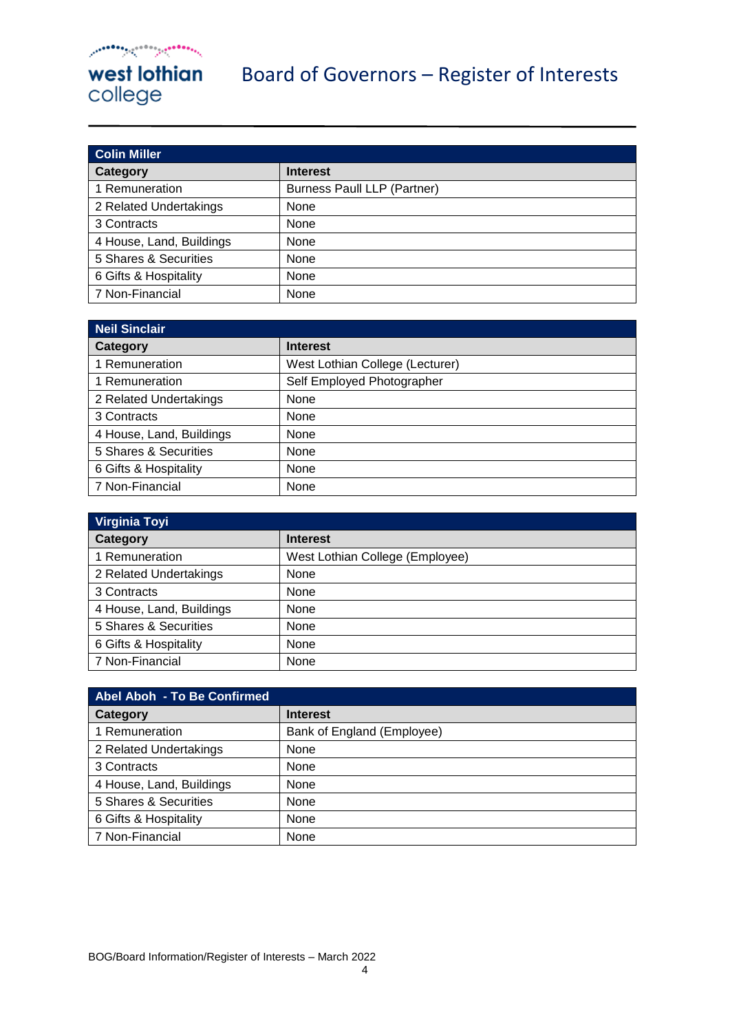| <b>Colin Miller</b>      |                                    |
|--------------------------|------------------------------------|
| Category                 | <b>Interest</b>                    |
| 1 Remuneration           | <b>Burness Paull LLP (Partner)</b> |
| 2 Related Undertakings   | None                               |
| 3 Contracts              | None                               |
| 4 House, Land, Buildings | None                               |
| 5 Shares & Securities    | None                               |
| 6 Gifts & Hospitality    | None                               |
| 7 Non-Financial          | None                               |

| <b>Neil Sinclair</b>     |                                 |
|--------------------------|---------------------------------|
| Category                 | <b>Interest</b>                 |
| 1 Remuneration           | West Lothian College (Lecturer) |
| 1 Remuneration           | Self Employed Photographer      |
| 2 Related Undertakings   | None                            |
| 3 Contracts              | None                            |
| 4 House, Land, Buildings | None                            |
| 5 Shares & Securities    | <b>None</b>                     |
| 6 Gifts & Hospitality    | None                            |
| 7 Non-Financial          | None                            |

| Virginia Toyi            |                                 |
|--------------------------|---------------------------------|
| Category                 | <b>Interest</b>                 |
| 1 Remuneration           | West Lothian College (Employee) |
| 2 Related Undertakings   | None                            |
| 3 Contracts              | None                            |
| 4 House, Land, Buildings | None                            |
| 5 Shares & Securities    | None                            |
| 6 Gifts & Hospitality    | None                            |
| 7 Non-Financial          | None                            |

| Abel Aboh - To Be Confirmed |                            |
|-----------------------------|----------------------------|
| Category                    | <b>Interest</b>            |
| 1 Remuneration              | Bank of England (Employee) |
| 2 Related Undertakings      | None                       |
| 3 Contracts                 | None                       |
| 4 House, Land, Buildings    | None                       |
| 5 Shares & Securities       | None                       |
| 6 Gifts & Hospitality       | None                       |
| 7 Non-Financial             | None                       |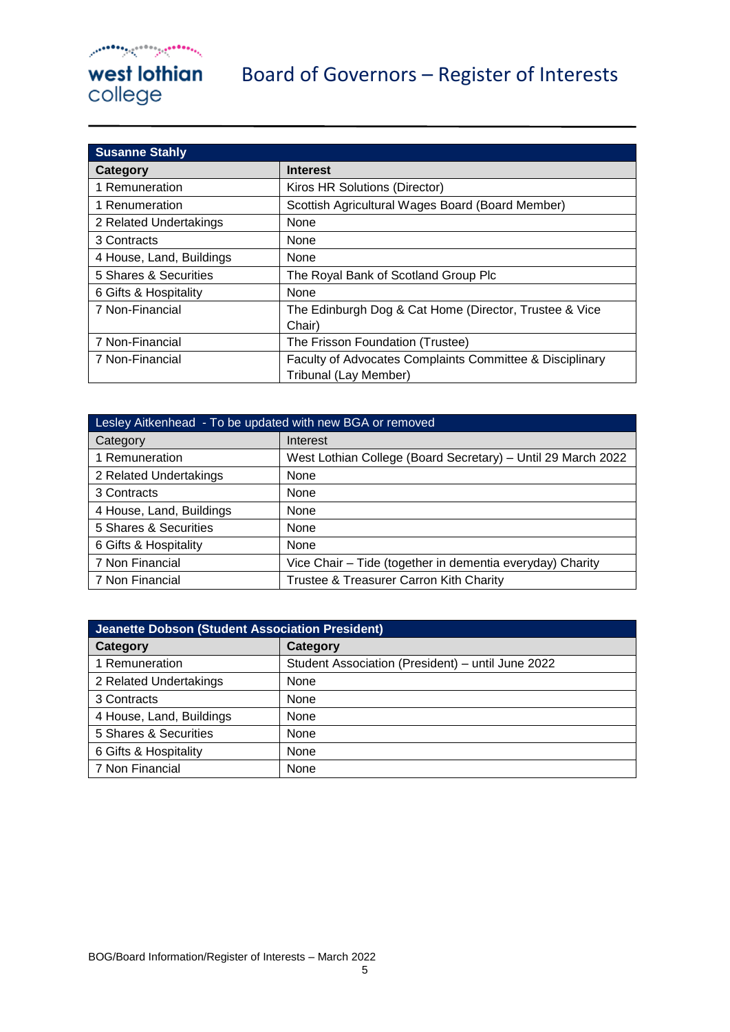| <b>Susanne Stahly</b>    |                                                                                   |
|--------------------------|-----------------------------------------------------------------------------------|
| Category                 | <b>Interest</b>                                                                   |
| 1 Remuneration           | Kiros HR Solutions (Director)                                                     |
| 1 Renumeration           | Scottish Agricultural Wages Board (Board Member)                                  |
| 2 Related Undertakings   | None                                                                              |
| 3 Contracts              | None                                                                              |
| 4 House, Land, Buildings | None                                                                              |
| 5 Shares & Securities    | The Royal Bank of Scotland Group Plc                                              |
| 6 Gifts & Hospitality    | None                                                                              |
| 7 Non-Financial          | The Edinburgh Dog & Cat Home (Director, Trustee & Vice<br>Chair)                  |
| 7 Non-Financial          | The Frisson Foundation (Trustee)                                                  |
| 7 Non-Financial          | Faculty of Advocates Complaints Committee & Disciplinary<br>Tribunal (Lay Member) |

| Lesley Aitkenhead - To be updated with new BGA or removed |                                                              |
|-----------------------------------------------------------|--------------------------------------------------------------|
| Category                                                  | Interest                                                     |
| 1 Remuneration                                            | West Lothian College (Board Secretary) - Until 29 March 2022 |
| 2 Related Undertakings                                    | None                                                         |
| 3 Contracts                                               | None                                                         |
| 4 House, Land, Buildings                                  | None                                                         |
| 5 Shares & Securities                                     | None                                                         |
| 6 Gifts & Hospitality                                     | None                                                         |
| 7 Non Financial                                           | Vice Chair - Tide (together in dementia everyday) Charity    |
| 7 Non Financial                                           | Trustee & Treasurer Carron Kith Charity                      |

| Jeanette Dobson (Student Association President) |                                                   |
|-------------------------------------------------|---------------------------------------------------|
| Category                                        | Category                                          |
| 1 Remuneration                                  | Student Association (President) - until June 2022 |
| 2 Related Undertakings                          | None                                              |
| 3 Contracts                                     | None                                              |
| 4 House, Land, Buildings                        | None                                              |
| 5 Shares & Securities                           | None                                              |
| 6 Gifts & Hospitality                           | None                                              |
| 7 Non Financial                                 | None                                              |